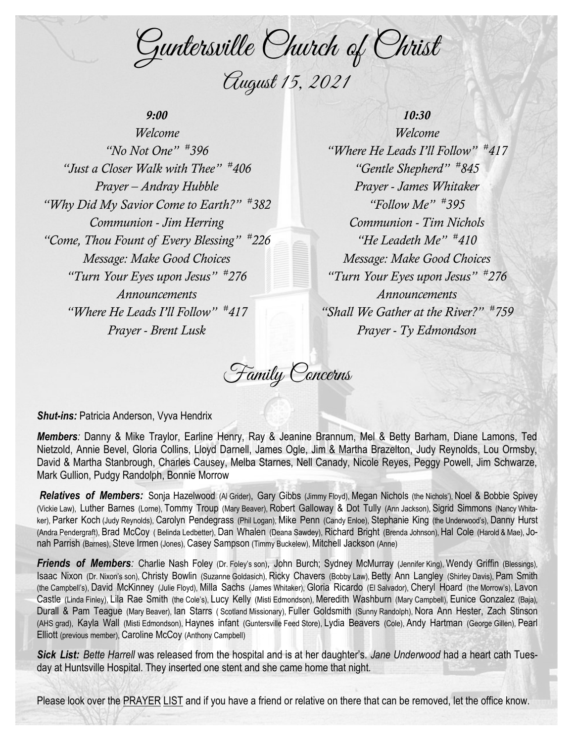Guntersville Church of Christ August 15, 2021

## *9:00*

*Welcome "No Not One" # 396 "Just a Closer Walk with Thee" # 406 Prayer – Andray Hubble "Why Did My Savior Come to Earth?" # 382 Communion - Jim Herring "Come, Thou Fount of Every Blessing" # 226 Message: Make Good Choices "Turn Your Eyes upon Jesus" # 276 Announcements "Where He Leads I'll Follow" # 417 Prayer - Brent Lusk*

*10:30 Welcome "Where He Leads I'll Follow" # 417 "Gentle Shepherd" # 845 Prayer - James Whitaker "Follow Me" # 395 Communion - Tim Nichols "He Leadeth Me" # 410 Message: Make Good Choices "Turn Your Eyes upon Jesus" # 276 Announcements "Shall We Gather at the River?" # 759 Prayer - Ty Edmondson*

Family Concerns

*Shut-ins:* Patricia Anderson, Vyva Hendrix

*Members:* Danny & Mike Traylor, Earline Henry, Ray & Jeanine Brannum, Mel & Betty Barham, Diane Lamons, Ted Nietzold, Annie Bevel, Gloria Collins, Lloyd Darnell, James Ogle, Jim & Martha Brazelton, Judy Reynolds, Lou Ormsby, David & Martha Stanbrough, Charles Causey, Melba Starnes, Nell Canady, Nicole Reyes, Peggy Powell, Jim Schwarze, Mark Gullion, Pudgy Randolph, Bonnie Morrow

*Relatives of Members:* Sonja Hazelwood (Al Grider), Gary Gibbs (Jimmy Floyd), Megan Nichols (the Nichols'), Noel & Bobbie Spivey (Vickie Law), Luther Barnes (Lorne), Tommy Troup (Mary Beaver), Robert Galloway & Dot Tully (Ann Jackson), Sigrid Simmons (Nancy Whitaker), Parker Koch (Judy Reynolds), Carolyn Pendegrass (Phil Logan), Mike Penn (Candy Enloe), Stephanie King (the Underwood's), Danny Hurst (Andra Pendergraft), Brad McCoy ( Belinda Ledbetter), Dan Whalen (Deana Sawdey), Richard Bright (Brenda Johnson), Hal Cole (Harold & Mae), Jonah Parrish (Barnes), Steve Irmen (Jones), Casey Sampson (Timmy Buckelew), Mitchell Jackson (Anne)

*Friends of Members:* Charlie Nash Foley (Dr. Foley's son), John Burch; Sydney McMurray (Jennifer King), Wendy Griffin (Blessings), Isaac Nixon (Dr. Nixon's son), Christy Bowlin (Suzanne Goldasich), Ricky Chavers (Bobby Law), Betty Ann Langley (Shirley Davis), Pam Smith (the Campbell's), David McKinney (Julie Floyd), Milla Sachs (James Whitaker), Gloria Ricardo (El Salvador), Cheryl Hoard (the Morrow's), Lavon Castle (Linda Finley), Lila Rae Smith (the Cole's), Lucy Kelly (Misti Edmondson), Meredith Washburn (Mary Campbell), Eunice Gonzalez (Baja), Durall & Pam Teague (Mary Beaver), Ian Starrs ( Scotland Missionary), Fuller Goldsmith (Sunny Randolph), Nora Ann Hester, Zach Stinson (AHS grad), Kayla Wall (Misti Edmondson), Haynes infant (Guntersville Feed Store), Lydia Beavers (Cole), Andy Hartman (George Gillen), Pearl Elliott (previous member), Caroline McCoy (Anthony Campbell)

*Sick List: Bette Harrell* was released from the hospital and is at her daughter's. *Jane Underwood* had a heart cath Tuesday at Huntsville Hospital. They inserted one stent and she came home that night.

Please look over the PRAYER LIST and if you have a friend or relative on there that can be removed, let the office know.